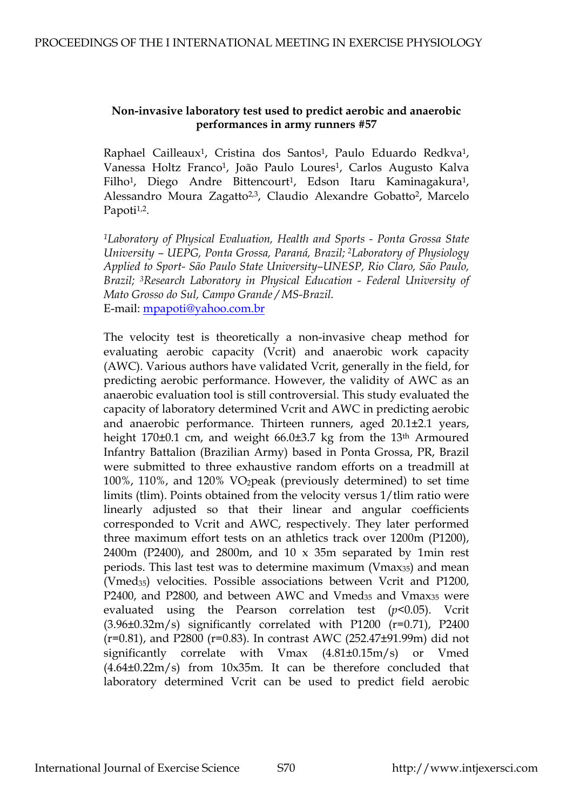## **Non-invasive laboratory test used to predict aerobic and anaerobic performances in army runners #57**

Raphael Cailleaux<sup>1</sup>, Cristina dos Santos<sup>1</sup>, Paulo Eduardo Redkva<sup>1</sup>, Vanessa Holtz Franco<sup>1</sup>, João Paulo Loures<sup>1</sup>, Carlos Augusto Kalva Filho<sup>1</sup>, Diego Andre Bittencourt<sup>1</sup>, Edson Itaru Kaminagakura<sup>1</sup>, Alessandro Moura Zagatto<sup>2,3</sup>, Claudio Alexandre Gobatto<sup>2</sup>, Marcelo Papoti $1,2$ .

*1Laboratory of Physical Evaluation, Health and Sports - Ponta Grossa State University – UEPG, Ponta Grossa, Paraná, Brazil; 2Laboratory of Physiology Applied to Sport- São Paulo State University–UNESP, Rio Claro, São Paulo, Brazil; 3Research Laboratory in Physical Education - Federal University of Mato Grosso do Sul, Campo Grande / MS-Brazil.*  E-mail: [mpapoti@yahoo.com.br](mailto:mpapoti@yahoo.com.br)

The velocity test is theoretically a non-invasive cheap method for evaluating aerobic capacity (Vcrit) and anaerobic work capacity (AWC). Various authors have validated Vcrit, generally in the field, for predicting aerobic performance. However, the validity of AWC as an anaerobic evaluation tool is still controversial. This study evaluated the capacity of laboratory determined Vcrit and AWC in predicting aerobic and anaerobic performance. Thirteen runners, aged 20.1±2.1 years, height 170±0.1 cm, and weight 66.0±3.7 kg from the 13<sup>th</sup> Armoured Infantry Battalion (Brazilian Army) based in Ponta Grossa, PR, Brazil were submitted to three exhaustive random efforts on a treadmill at 100%, 110%, and 120% VO2peak (previously determined) to set time limits (tlim). Points obtained from the velocity versus 1/tlim ratio were linearly adjusted so that their linear and angular coefficients corresponded to Vcrit and AWC, respectively. They later performed three maximum effort tests on an athletics track over 1200m (P1200), 2400m (P2400), and 2800m, and 10  $\times$  35m separated by 1min rest periods. This last test was to determine maximum (Vmax35) and mean (Vmed<sub>35</sub>) velocities. Possible associations between Vcrit and P1200, P2400, and P2800, and between AWC and Vmed $_{35}$  and Vmax $_{35}$  were evaluated using the Pearson correlation test (*p*<0.05). Vcrit  $(3.96\pm0.32\text{m/s})$  significantly correlated with P1200 (r=0.71), P2400 (r=0.81), and P2800 (r=0.83). In contrast AWC (252.47±91.99m) did not significantly correlate with Vmax (4.81±0.15m/s) or Vmed (4.64±0.22m/s) from 10x35m. It can be therefore concluded that laboratory determined Vcrit can be used to predict field aerobic